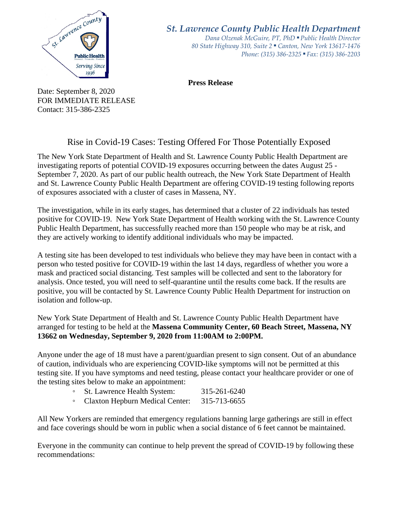

*St. Lawrence County Public Health Department*

*Dana Olzenak McGuire, PT, PhD ■ Public Health Director 80 State Highway 310, Suite 2 ■ Canton, New York 13617-1476 Phone: (315) 386-2325* ■ *Fax: (315) 386-2203*

**Press Release** 

Date: September 8, 2020 FOR IMMEDIATE RELEASE Contact: 315-386-2325

## Rise in Covid-19 Cases: Testing Offered For Those Potentially Exposed

The New York State Department of Health and St. Lawrence County Public Health Department are investigating reports of potential COVID-19 exposures occurring between the dates August 25 - September 7, 2020. As part of our public health outreach, the New York State Department of Health and St. Lawrence County Public Health Department are offering COVID-19 testing following reports of exposures associated with a cluster of cases in Massena, NY.

The investigation, while in its early stages, has determined that a cluster of 22 individuals has tested positive for COVID-19. New York State Department of Health working with the St. Lawrence County Public Health Department, has successfully reached more than 150 people who may be at risk, and they are actively working to identify additional individuals who may be impacted.

A testing site has been developed to test individuals who believe they may have been in contact with a person who tested positive for COVID-19 within the last 14 days, regardless of whether you wore a mask and practiced social distancing. Test samples will be collected and sent to the laboratory for analysis. Once tested, you will need to self-quarantine until the results come back. If the results are positive, you will be contacted by St. Lawrence County Public Health Department for instruction on isolation and follow-up.

New York State Department of Health and St. Lawrence County Public Health Department have arranged for testing to be held at the **Massena Community Center, 60 Beach Street, Massena, NY 13662 on Wednesday, September 9, 2020 from 11:00AM to 2:00PM.**

Anyone under the age of 18 must have a parent/guardian present to sign consent. Out of an abundance of caution, individuals who are experiencing COVID-like symptoms will not be permitted at this testing site. If you have symptoms and need testing, please contact your healthcare provider or one of the testing sites below to make an appointment:

| $\circ$ | St. Lawrence Health System: | 315-261-6240 |
|---------|-----------------------------|--------------|
|---------|-----------------------------|--------------|

◦ Claxton Hepburn Medical Center: 315-713-6655

All New Yorkers are reminded that emergency regulations banning large gatherings are still in effect and face coverings should be worn in public when a social distance of 6 feet cannot be maintained.

Everyone in the community can continue to help prevent the spread of COVID-19 by following these recommendations: